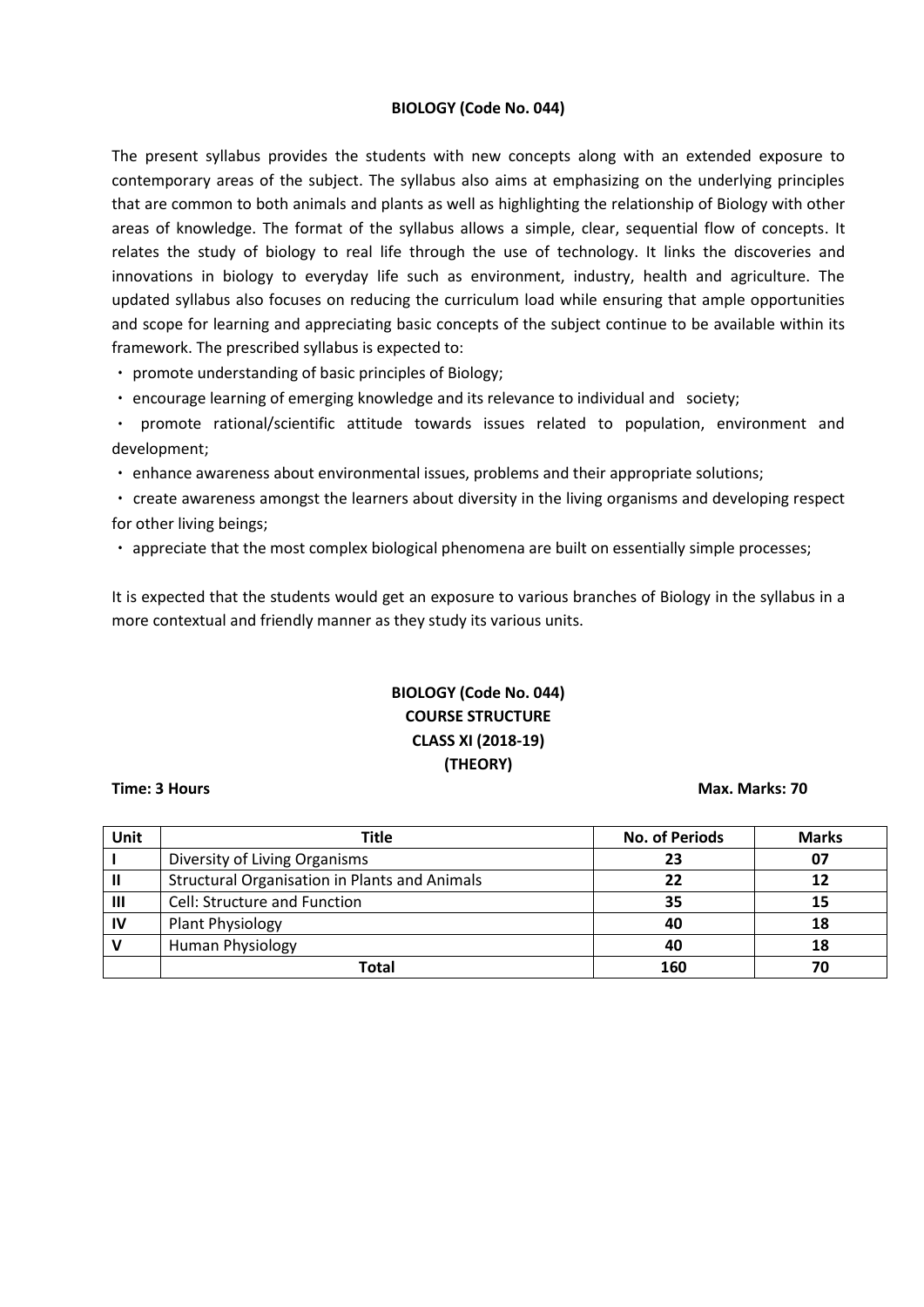# **BIOLOGY (Code No. 044)**

The present syllabus provides the students with new concepts along with an extended exposure to contemporary areas of the subject. The syllabus also aims at emphasizing on the underlying principles that are common to both animals and plants as well as highlighting the relationship of Biology with other areas of knowledge. The format of the syllabus allows a simple, clear, sequential flow of concepts. It relates the study of biology to real life through the use of technology. It links the discoveries and innovations in biology to everyday life such as environment, industry, health and agriculture. The updated syllabus also focuses on reducing the curriculum load while ensuring that ample opportunities and scope for learning and appreciating basic concepts of the subject continue to be available within its framework. The prescribed syllabus is expected to:

promote understanding of basic principles of Biology;

encourage learning of emerging knowledge and its relevance to individual and society;

promote rational/scientific attitude towards issues related to population, environment and development;

enhance awareness about environmental issues, problems and their appropriate solutions;

create awareness amongst the learners about diversity in the living organisms and developing respect for other living beings;

appreciate that the most complex biological phenomena are built on essentially simple processes;

It is expected that the students would get an exposure to various branches of Biology in the syllabus in a more contextual and friendly manner as they study its various units.

# **BIOLOGY (Code No. 044) COURSE STRUCTURE CLASS XI (2018-19) (THEORY)**

### **Time: 3 Hours Max. Marks: 70**

| Unit | <b>Title</b>                                         | <b>No. of Periods</b> | <b>Marks</b> |
|------|------------------------------------------------------|-----------------------|--------------|
|      | Diversity of Living Organisms                        | 23                    | 07           |
|      | <b>Structural Organisation in Plants and Animals</b> | 22                    | 12           |
| Ш    | Cell: Structure and Function                         | 35                    | 15           |
| IV   | Plant Physiology                                     | 40                    | 18           |
|      | Human Physiology                                     | 40                    | 18           |
|      | Total                                                | 160                   |              |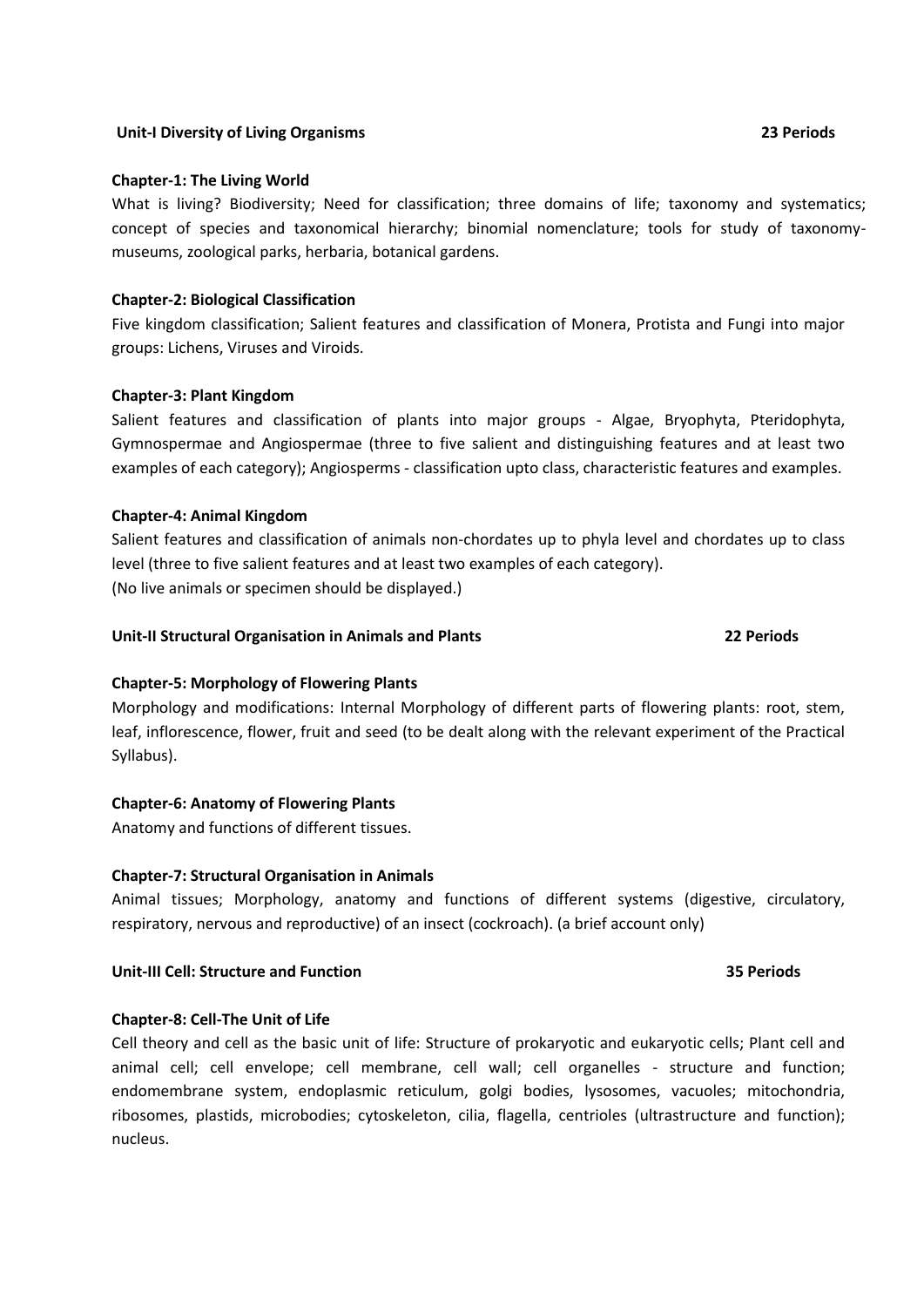### **Unit-I Diversity of Living Organisms 23 Periods**

### **Chapter-1: The Living World**

What is living? Biodiversity; Need for classification; three domains of life; taxonomy and systematics; concept of species and taxonomical hierarchy; binomial nomenclature; tools for study of taxonomymuseums, zoological parks, herbaria, botanical gardens.

### **Chapter-2: Biological Classification**

Five kingdom classification; Salient features and classification of Monera, Protista and Fungi into major groups: Lichens, Viruses and Viroids.

### **Chapter-3: Plant Kingdom**

Salient features and classification of plants into major groups - Algae, Bryophyta, Pteridophyta, Gymnospermae and Angiospermae (three to five salient and distinguishing features and at least two examples of each category); Angiosperms - classification upto class, characteristic features and examples.

### **Chapter-4: Animal Kingdom**

Salient features and classification of animals non-chordates up to phyla level and chordates up to class level (three to five salient features and at least two examples of each category). (No live animals or specimen should be displayed.)

### **Unit-II Structural Organisation in Animals and Plants 22 Periods**

# **Chapter-5: Morphology of Flowering Plants**

Morphology and modifications: Internal Morphology of different parts of flowering plants: root, stem, leaf, inflorescence, flower, fruit and seed (to be dealt along with the relevant experiment of the Practical Syllabus).

### **Chapter-6: Anatomy of Flowering Plants**

Anatomy and functions of different tissues.

### **Chapter-7: Structural Organisation in Animals**

Animal tissues; Morphology, anatomy and functions of different systems (digestive, circulatory, respiratory, nervous and reproductive) of an insect (cockroach). (a brief account only)

### **Unit-III Cell: Structure and Function 35 Periods**

### **Chapter-8: Cell-The Unit of Life**

Cell theory and cell as the basic unit of life: Structure of prokaryotic and eukaryotic cells; Plant cell and animal cell; cell envelope; cell membrane, cell wall; cell organelles - structure and function; endomembrane system, endoplasmic reticulum, golgi bodies, lysosomes, vacuoles; mitochondria, ribosomes, plastids, microbodies; cytoskeleton, cilia, flagella, centrioles (ultrastructure and function); nucleus.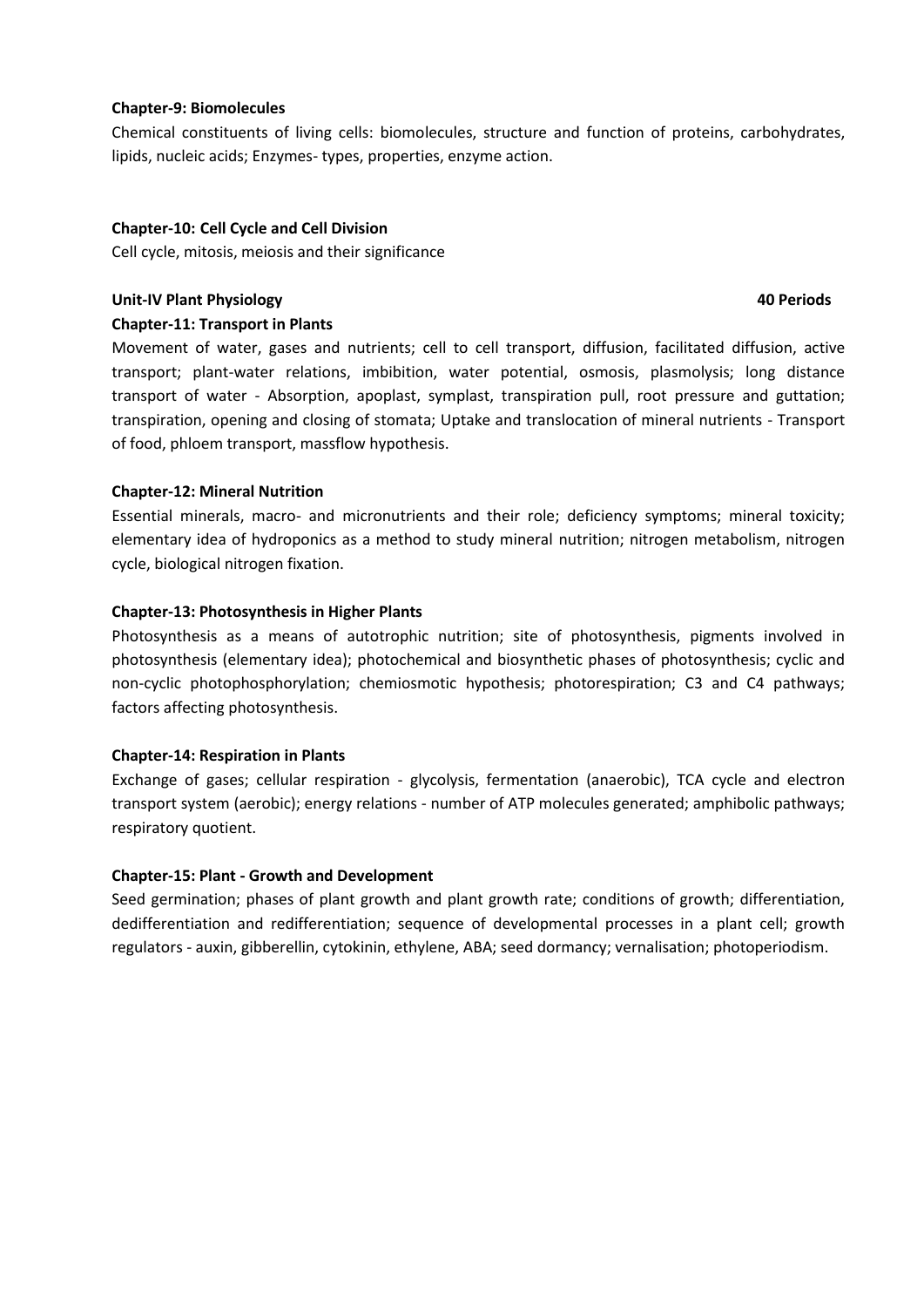# **Chapter-9: Biomolecules**

Chemical constituents of living cells: biomolecules, structure and function of proteins, carbohydrates, lipids, nucleic acids; Enzymes- types, properties, enzyme action.

# **Chapter-10: Cell Cycle and Cell Division**

Cell cycle, mitosis, meiosis and their significance

# **Unit-IV Plant Physiology 40 Periods**

# **Chapter-11: Transport in Plants**

Movement of water, gases and nutrients; cell to cell transport, diffusion, facilitated diffusion, active transport; plant-water relations, imbibition, water potential, osmosis, plasmolysis; long distance transport of water - Absorption, apoplast, symplast, transpiration pull, root pressure and guttation; transpiration, opening and closing of stomata; Uptake and translocation of mineral nutrients - Transport of food, phloem transport, massflow hypothesis.

# **Chapter-12: Mineral Nutrition**

Essential minerals, macro- and micronutrients and their role; deficiency symptoms; mineral toxicity; elementary idea of hydroponics as a method to study mineral nutrition; nitrogen metabolism, nitrogen cycle, biological nitrogen fixation.

# **Chapter-13: Photosynthesis in Higher Plants**

Photosynthesis as a means of autotrophic nutrition; site of photosynthesis, pigments involved in photosynthesis (elementary idea); photochemical and biosynthetic phases of photosynthesis; cyclic and non-cyclic photophosphorylation; chemiosmotic hypothesis; photorespiration; C3 and C4 pathways; factors affecting photosynthesis.

# **Chapter-14: Respiration in Plants**

Exchange of gases; cellular respiration - glycolysis, fermentation (anaerobic), TCA cycle and electron transport system (aerobic); energy relations - number of ATP molecules generated; amphibolic pathways; respiratory quotient.

# **Chapter-15: Plant - Growth and Development**

Seed germination; phases of plant growth and plant growth rate; conditions of growth; differentiation, dedifferentiation and redifferentiation; sequence of developmental processes in a plant cell; growth regulators - auxin, gibberellin, cytokinin, ethylene, ABA; seed dormancy; vernalisation; photoperiodism.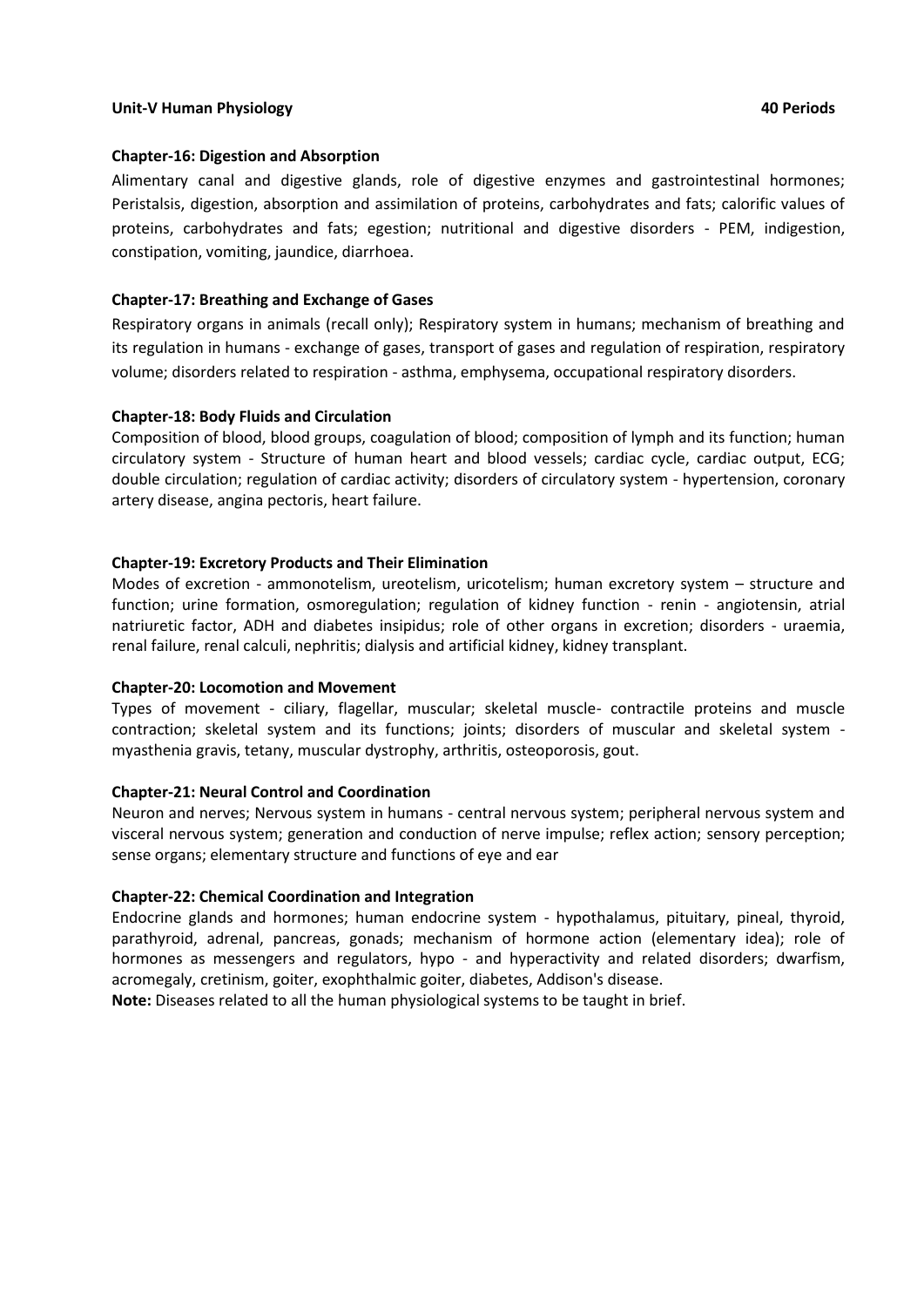### **Unit-V Human Physiology 40 Periods**

# **Chapter-16: Digestion and Absorption**

Alimentary canal and digestive glands, role of digestive enzymes and gastrointestinal hormones; Peristalsis, digestion, absorption and assimilation of proteins, carbohydrates and fats; calorific values of proteins, carbohydrates and fats; egestion; nutritional and digestive disorders - PEM, indigestion, constipation, vomiting, jaundice, diarrhoea.

# **Chapter-17: Breathing and Exchange of Gases**

Respiratory organs in animals (recall only); Respiratory system in humans; mechanism of breathing and its regulation in humans - exchange of gases, transport of gases and regulation of respiration, respiratory volume; disorders related to respiration - asthma, emphysema, occupational respiratory disorders.

# **Chapter-18: Body Fluids and Circulation**

Composition of blood, blood groups, coagulation of blood; composition of lymph and its function; human circulatory system - Structure of human heart and blood vessels; cardiac cycle, cardiac output, ECG; double circulation; regulation of cardiac activity; disorders of circulatory system - hypertension, coronary artery disease, angina pectoris, heart failure.

# **Chapter-19: Excretory Products and Their Elimination**

Modes of excretion - ammonotelism, ureotelism, uricotelism; human excretory system – structure and function; urine formation, osmoregulation; regulation of kidney function - renin - angiotensin, atrial natriuretic factor, ADH and diabetes insipidus; role of other organs in excretion; disorders - uraemia, renal failure, renal calculi, nephritis; dialysis and artificial kidney, kidney transplant.

# **Chapter-20: Locomotion and Movement**

Types of movement - ciliary, flagellar, muscular; skeletal muscle- contractile proteins and muscle contraction; skeletal system and its functions; joints; disorders of muscular and skeletal system myasthenia gravis, tetany, muscular dystrophy, arthritis, osteoporosis, gout.

# **Chapter-21: Neural Control and Coordination**

Neuron and nerves; Nervous system in humans - central nervous system; peripheral nervous system and visceral nervous system; generation and conduction of nerve impulse; reflex action; sensory perception; sense organs; elementary structure and functions of eye and ear

# **Chapter-22: Chemical Coordination and Integration**

Endocrine glands and hormones; human endocrine system - hypothalamus, pituitary, pineal, thyroid, parathyroid, adrenal, pancreas, gonads; mechanism of hormone action (elementary idea); role of hormones as messengers and regulators, hypo - and hyperactivity and related disorders; dwarfism, acromegaly, cretinism, goiter, exophthalmic goiter, diabetes, Addison's disease.

**Note:** Diseases related to all the human physiological systems to be taught in brief.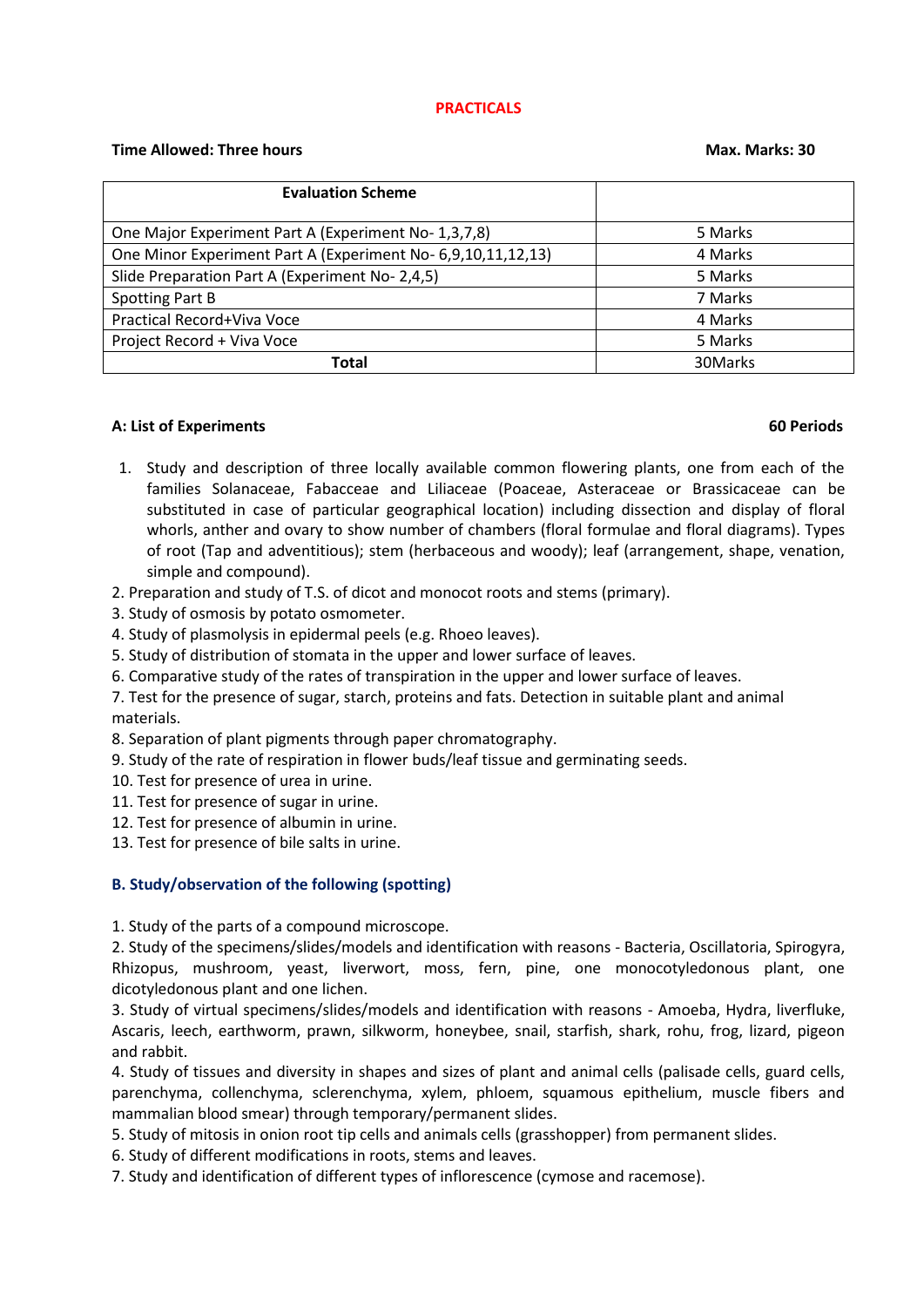### **PRACTICALS**

# **Time Allowed: Three hours Max. Marks: 30**

| <b>Evaluation Scheme</b>                                     |         |
|--------------------------------------------------------------|---------|
|                                                              |         |
| One Major Experiment Part A (Experiment No-1,3,7,8)          | 5 Marks |
| One Minor Experiment Part A (Experiment No- 6,9,10,11,12,13) | 4 Marks |
| Slide Preparation Part A (Experiment No- 2,4,5)              | 5 Marks |
| Spotting Part B                                              | 7 Marks |
| Practical Record+Viva Voce                                   | 4 Marks |
| Project Record + Viva Voce                                   | 5 Marks |
| <b>Total</b>                                                 | 30Marks |

### **A: List of Experiments 60 Periods**

- 1. Study and description of three locally available common flowering plants, one from each of the families Solanaceae, Fabacceae and Liliaceae (Poaceae, Asteraceae or Brassicaceae can be substituted in case of particular geographical location) including dissection and display of floral whorls, anther and ovary to show number of chambers (floral formulae and floral diagrams). Types of root (Tap and adventitious); stem (herbaceous and woody); leaf (arrangement, shape, venation, simple and compound).
- 2. Preparation and study of T.S. of dicot and monocot roots and stems (primary).
- 3. Study of osmosis by potato osmometer.
- 4. Study of plasmolysis in epidermal peels (e.g. Rhoeo leaves).
- 5. Study of distribution of stomata in the upper and lower surface of leaves.
- 6. Comparative study of the rates of transpiration in the upper and lower surface of leaves.
- 7. Test for the presence of sugar, starch, proteins and fats. Detection in suitable plant and animal materials.
- 8. Separation of plant pigments through paper chromatography.
- 9. Study of the rate of respiration in flower buds/leaf tissue and germinating seeds.
- 10. Test for presence of urea in urine.
- 11. Test for presence of sugar in urine.
- 12. Test for presence of albumin in urine.
- 13. Test for presence of bile salts in urine.

# **B. Study/observation of the following (spotting)**

1. Study of the parts of a compound microscope.

2. Study of the specimens/slides/models and identification with reasons - Bacteria, Oscillatoria, Spirogyra, Rhizopus, mushroom, yeast, liverwort, moss, fern, pine, one monocotyledonous plant, one dicotyledonous plant and one lichen.

3. Study of virtual specimens/slides/models and identification with reasons - Amoeba, Hydra, liverfluke, Ascaris, leech, earthworm, prawn, silkworm, honeybee, snail, starfish, shark, rohu, frog, lizard, pigeon and rabbit.

4. Study of tissues and diversity in shapes and sizes of plant and animal cells (palisade cells, guard cells, parenchyma, collenchyma, sclerenchyma, xylem, phloem, squamous epithelium, muscle fibers and mammalian blood smear) through temporary/permanent slides.

5. Study of mitosis in onion root tip cells and animals cells (grasshopper) from permanent slides.

6. Study of different modifications in roots, stems and leaves.

7. Study and identification of different types of inflorescence (cymose and racemose).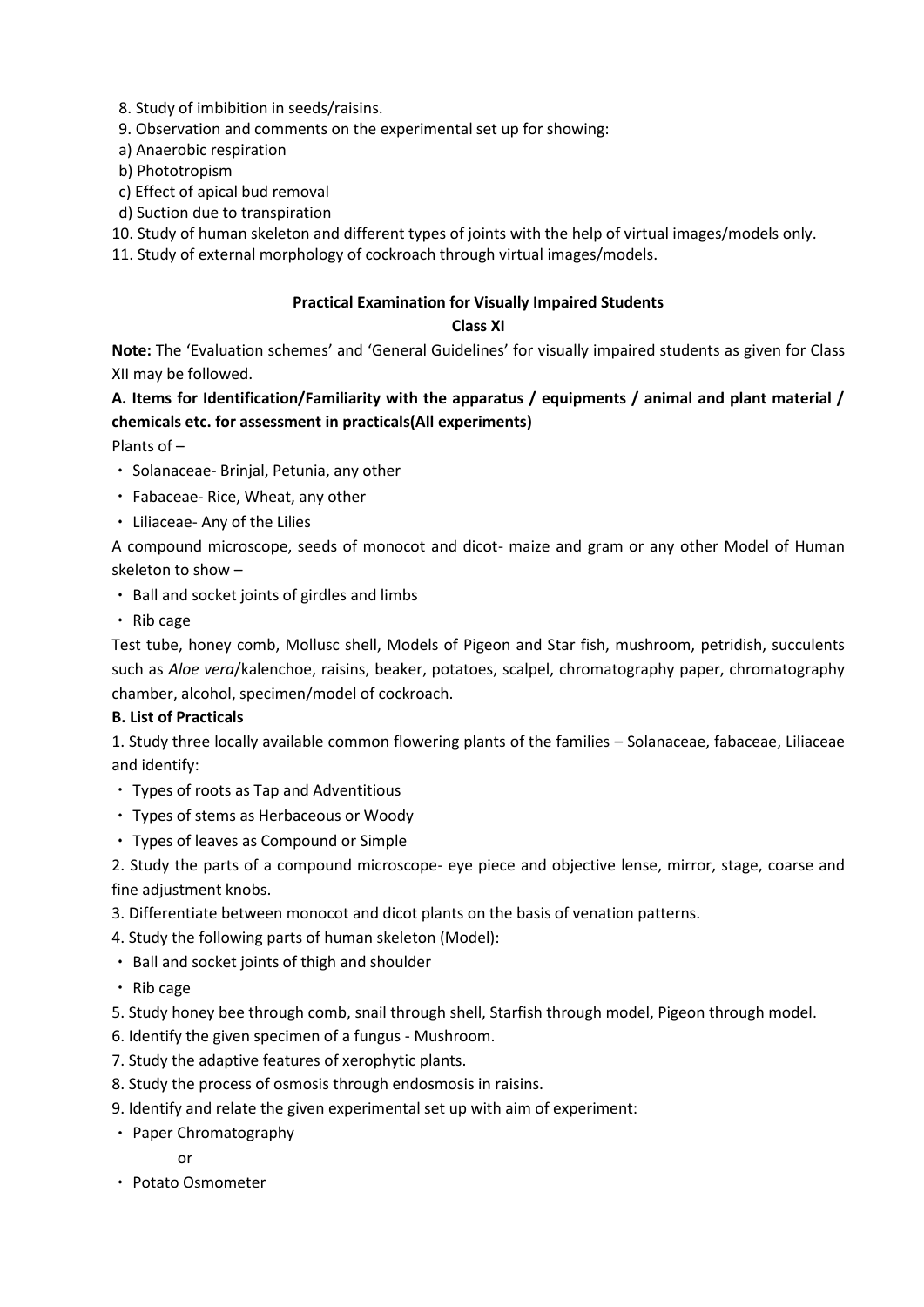- 8. Study of imbibition in seeds/raisins.
- 9. Observation and comments on the experimental set up for showing:
- a) Anaerobic respiration
- b) Phototropism
- c) Effect of apical bud removal
- d) Suction due to transpiration

10. Study of human skeleton and different types of joints with the help of virtual images/models only.

11. Study of external morphology of cockroach through virtual images/models.

# **Practical Examination for Visually Impaired Students**

# **Class XI**

**Note:** The 'Evaluation schemes' and 'General Guidelines' for visually impaired students as given for Class XII may be followed.

# **A. Items for Identification/Familiarity with the apparatus / equipments / animal and plant material / chemicals etc. for assessment in practicals(All experiments)**

Plants of –

- Solanaceae- Brinjal, Petunia, any other
- Fabaceae- Rice, Wheat, any other
- Liliaceae- Any of the Lilies

A compound microscope, seeds of monocot and dicot- maize and gram or any other Model of Human skeleton to show –

- Ball and socket joints of girdles and limbs
- $\cdot$  Rib cage

Test tube, honey comb, Mollusc shell, Models of Pigeon and Star fish, mushroom, petridish, succulents such as *Aloe vera*/kalenchoe, raisins, beaker, potatoes, scalpel, chromatography paper, chromatography chamber, alcohol, specimen/model of cockroach.

# **B. List of Practicals**

1. Study three locally available common flowering plants of the families – Solanaceae, fabaceae, Liliaceae and identify:

- Types of roots as Tap and Adventitious
- Types of stems as Herbaceous or Woody
- Types of leaves as Compound or Simple

2. Study the parts of a compound microscope- eye piece and objective lense, mirror, stage, coarse and fine adjustment knobs.

- 3. Differentiate between monocot and dicot plants on the basis of venation patterns.
- 4. Study the following parts of human skeleton (Model):
- Ball and socket joints of thigh and shoulder
- $\cdot$  Rib cage

5. Study honey bee through comb, snail through shell, Starfish through model, Pigeon through model.

- 6. Identify the given specimen of a fungus Mushroom.
- 7. Study the adaptive features of xerophytic plants.
- 8. Study the process of osmosis through endosmosis in raisins.
- 9. Identify and relate the given experimental set up with aim of experiment:
- Paper Chromatography
	- or
- Potato Osmometer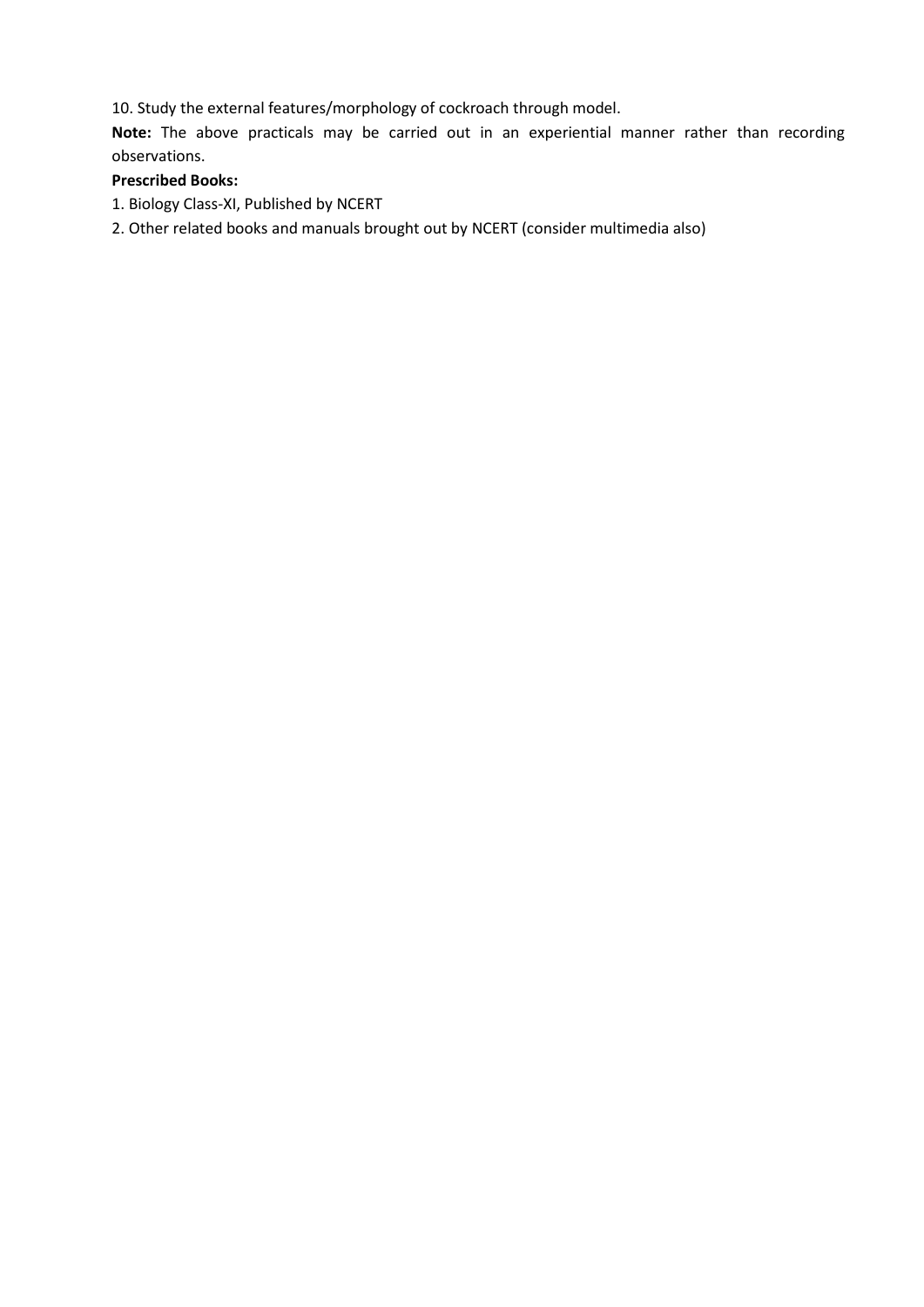10. Study the external features/morphology of cockroach through model.

**Note:** The above practicals may be carried out in an experiential manner rather than recording observations.

# **Prescribed Books:**

- 1. Biology Class-XI, Published by NCERT
- 2. Other related books and manuals brought out by NCERT (consider multimedia also)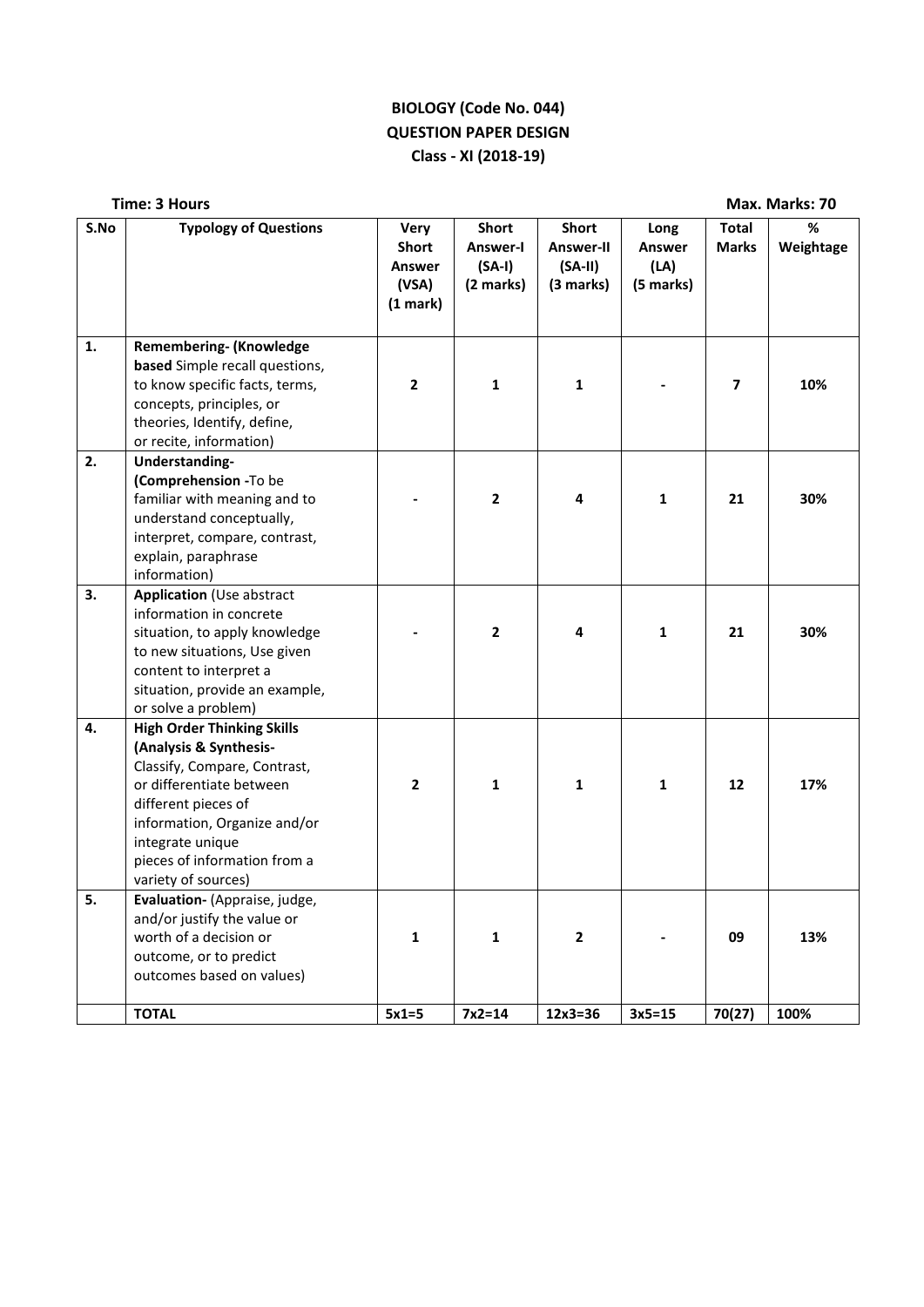# **BIOLOGY (Code No. 044) QUESTION PAPER DESIGN Class - XI (2018-19)**

|      | <b>Time: 3 Hours</b>                                                                                                                                                                                                                                      |                                                            |                                                   |                                                     |                                     |                              | Max. Marks: 70 |
|------|-----------------------------------------------------------------------------------------------------------------------------------------------------------------------------------------------------------------------------------------------------------|------------------------------------------------------------|---------------------------------------------------|-----------------------------------------------------|-------------------------------------|------------------------------|----------------|
| S.No | <b>Typology of Questions</b>                                                                                                                                                                                                                              | <b>Very</b><br><b>Short</b><br>Answer<br>(VSA)<br>(1 mark) | <b>Short</b><br>Answer-I<br>$(SA-I)$<br>(2 marks) | <b>Short</b><br>Answer-II<br>$(SA-II)$<br>(3 marks) | Long<br>Answer<br>(LA)<br>(5 marks) | <b>Total</b><br><b>Marks</b> | %<br>Weightage |
| 1.   | <b>Remembering- (Knowledge</b><br>based Simple recall questions,<br>to know specific facts, terms,<br>concepts, principles, or<br>theories, Identify, define,<br>or recite, information)                                                                  | $\mathbf{2}$                                               | 1                                                 | 1                                                   |                                     | 7                            | 10%            |
| 2.   | Understanding-<br>(Comprehension -To be<br>familiar with meaning and to<br>understand conceptually,<br>interpret, compare, contrast,<br>explain, paraphrase<br>information)                                                                               |                                                            | $\mathbf{2}$                                      | 4                                                   | 1                                   | 21                           | 30%            |
| 3.   | Application (Use abstract<br>information in concrete<br>situation, to apply knowledge<br>to new situations, Use given<br>content to interpret a<br>situation, provide an example,<br>or solve a problem)                                                  |                                                            | $\overline{2}$                                    | 4                                                   | 1                                   | 21                           | 30%            |
| 4.   | <b>High Order Thinking Skills</b><br>(Analysis & Synthesis-<br>Classify, Compare, Contrast,<br>or differentiate between<br>different pieces of<br>information, Organize and/or<br>integrate unique<br>pieces of information from a<br>variety of sources) | $\overline{2}$                                             | 1                                                 | 1                                                   | 1                                   | 12                           | 17%            |
| 5.   | Evaluation- (Appraise, judge,<br>and/or justify the value or<br>worth of a decision or<br>outcome, or to predict<br>outcomes based on values)                                                                                                             | $\mathbf{1}$                                               | $\mathbf{1}$                                      | $\overline{2}$                                      |                                     | 09                           | 13%            |
|      | <b>TOTAL</b>                                                                                                                                                                                                                                              | $5x1=5$                                                    | $7x2=14$                                          | $12x3=36$                                           | $3x5 = 15$                          | 70(27)                       | 100%           |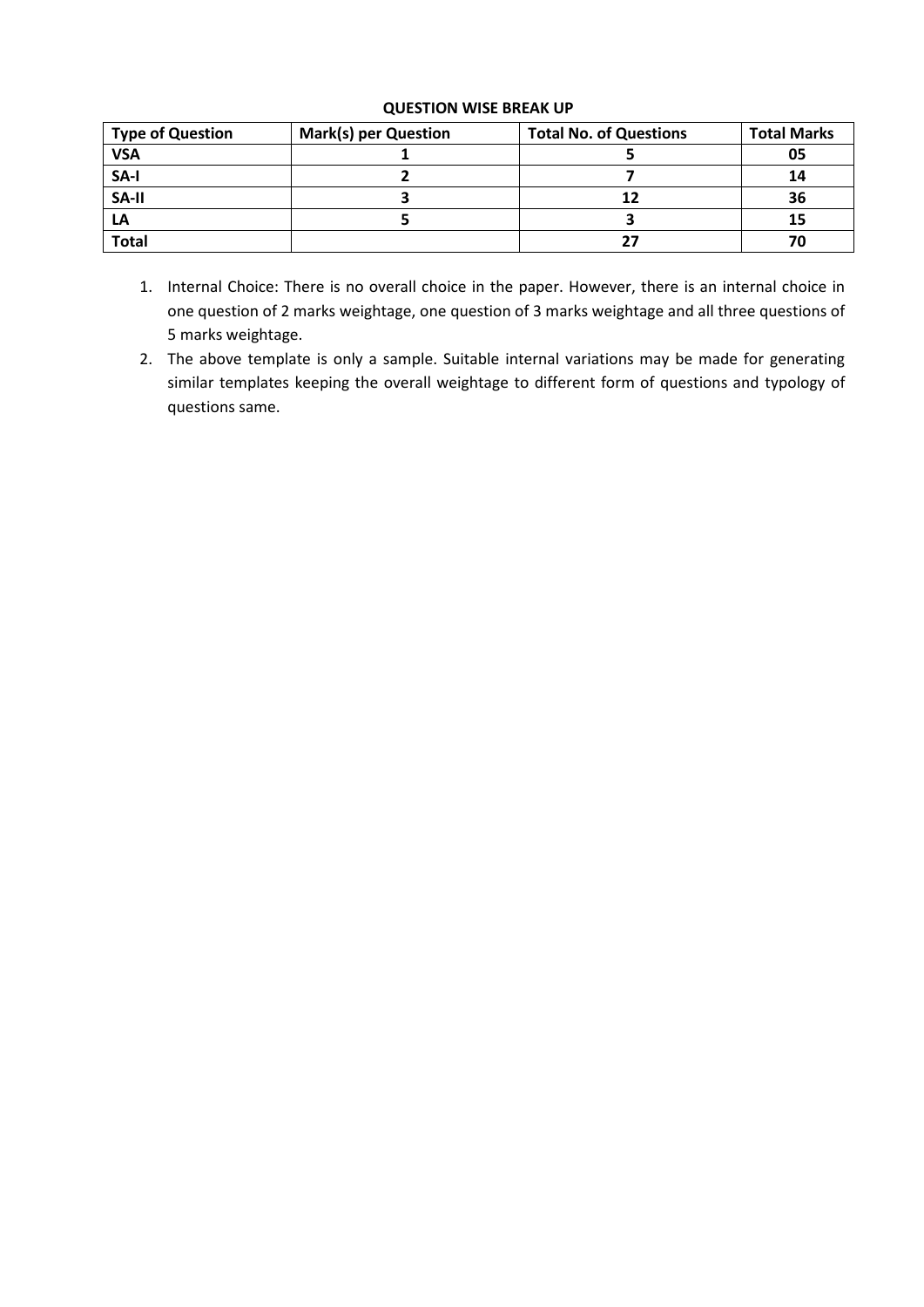# **QUESTION WISE BREAK UP**

| <b>Type of Question</b> | <b>Mark(s) per Question</b> | <b>Total No. of Questions</b> | <b>Total Marks</b> |
|-------------------------|-----------------------------|-------------------------------|--------------------|
| <b>VSA</b>              |                             |                               | 05                 |
| SA-I                    |                             |                               | 14                 |
| SA-II                   |                             | 12                            | 36                 |
| LA                      |                             |                               | 15                 |
| <b>Total</b>            |                             | 27                            |                    |

- 1. Internal Choice: There is no overall choice in the paper. However, there is an internal choice in one question of 2 marks weightage, one question of 3 marks weightage and all three questions of 5 marks weightage.
- 2. The above template is only a sample. Suitable internal variations may be made for generating similar templates keeping the overall weightage to different form of questions and typology of questions same.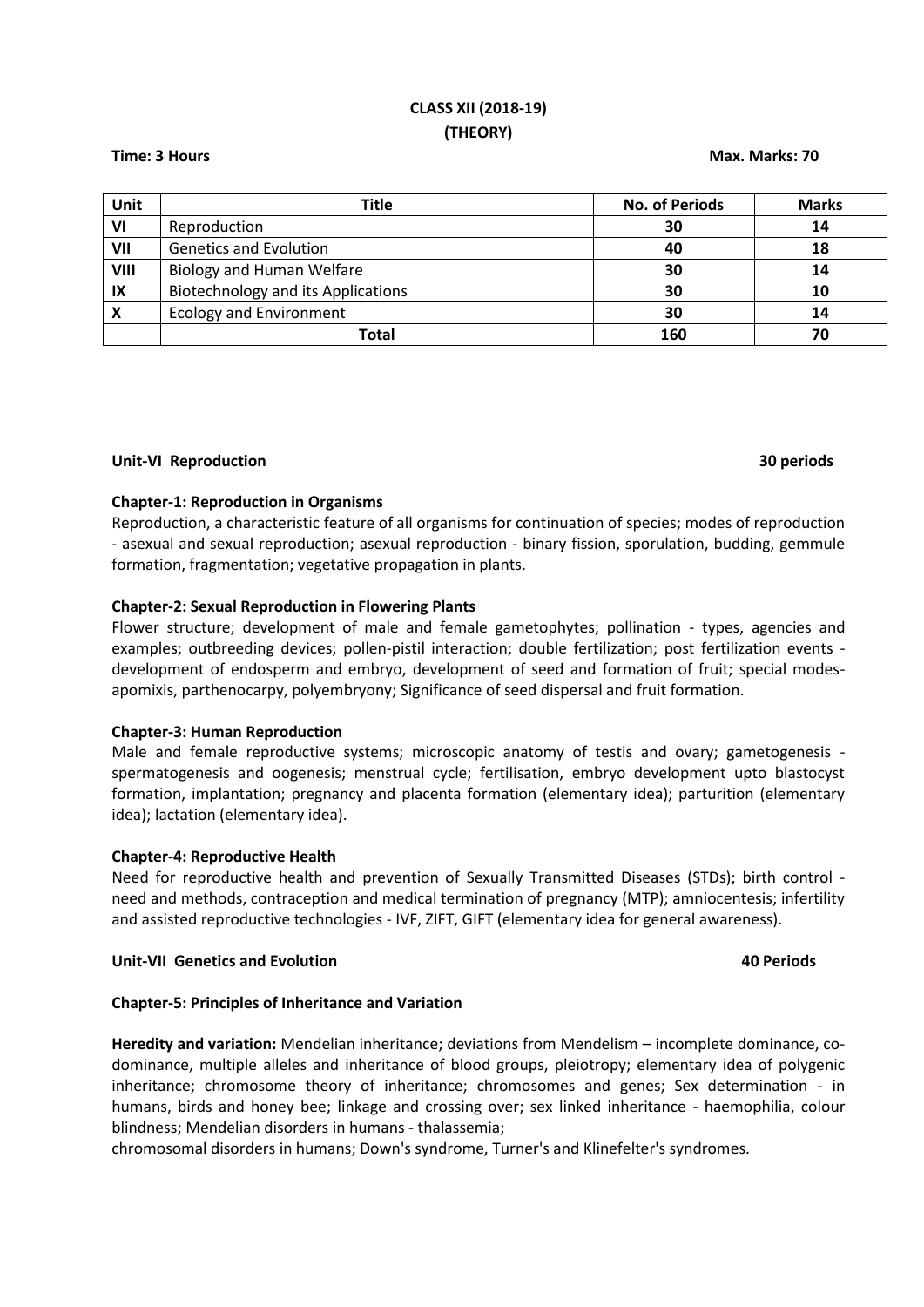# **CLASS XII (2018-19) (THEORY)**

### **Time: 3 Hours Max. Marks: 70**

| Unit                      | Title                                     | <b>No. of Periods</b> | <b>Marks</b> |
|---------------------------|-------------------------------------------|-----------------------|--------------|
| VI                        | Reproduction                              | 30                    | 14           |
| VII                       | <b>Genetics and Evolution</b>             | 40                    | 18           |
| VIII                      | Biology and Human Welfare                 | 30                    | 14           |
| IX                        | <b>Biotechnology and its Applications</b> | 30                    | 10           |
| $\boldsymbol{\mathsf{x}}$ | <b>Ecology and Environment</b>            | 30                    | 14           |
|                           | Total                                     | 160                   | 70           |

### **Unit-VI Reproduction 30 periods**

### **Chapter-1: Reproduction in Organisms**

Reproduction, a characteristic feature of all organisms for continuation of species; modes of reproduction - asexual and sexual reproduction; asexual reproduction - binary fission, sporulation, budding, gemmule formation, fragmentation; vegetative propagation in plants.

### **Chapter-2: Sexual Reproduction in Flowering Plants**

Flower structure; development of male and female gametophytes; pollination - types, agencies and examples; outbreeding devices; pollen-pistil interaction; double fertilization; post fertilization events development of endosperm and embryo, development of seed and formation of fruit; special modesapomixis, parthenocarpy, polyembryony; Significance of seed dispersal and fruit formation.

### **Chapter-3: Human Reproduction**

Male and female reproductive systems; microscopic anatomy of testis and ovary; gametogenesis spermatogenesis and oogenesis; menstrual cycle; fertilisation, embryo development upto blastocyst formation, implantation; pregnancy and placenta formation (elementary idea); parturition (elementary idea); lactation (elementary idea).

### **Chapter-4: Reproductive Health**

Need for reproductive health and prevention of Sexually Transmitted Diseases (STDs); birth control need and methods, contraception and medical termination of pregnancy (MTP); amniocentesis; infertility and assisted reproductive technologies - IVF, ZIFT, GIFT (elementary idea for general awareness).

### **Unit-VII Genetics and Evolution 40 Periods**

### **Chapter-5: Principles of Inheritance and Variation**

**Heredity and variation:** Mendelian inheritance; deviations from Mendelism – incomplete dominance, codominance, multiple alleles and inheritance of blood groups, pleiotropy; elementary idea of polygenic inheritance; chromosome theory of inheritance; chromosomes and genes; Sex determination - in humans, birds and honey bee; linkage and crossing over; sex linked inheritance - haemophilia, colour blindness; Mendelian disorders in humans - thalassemia;

chromosomal disorders in humans; Down's syndrome, Turner's and Klinefelter's syndromes.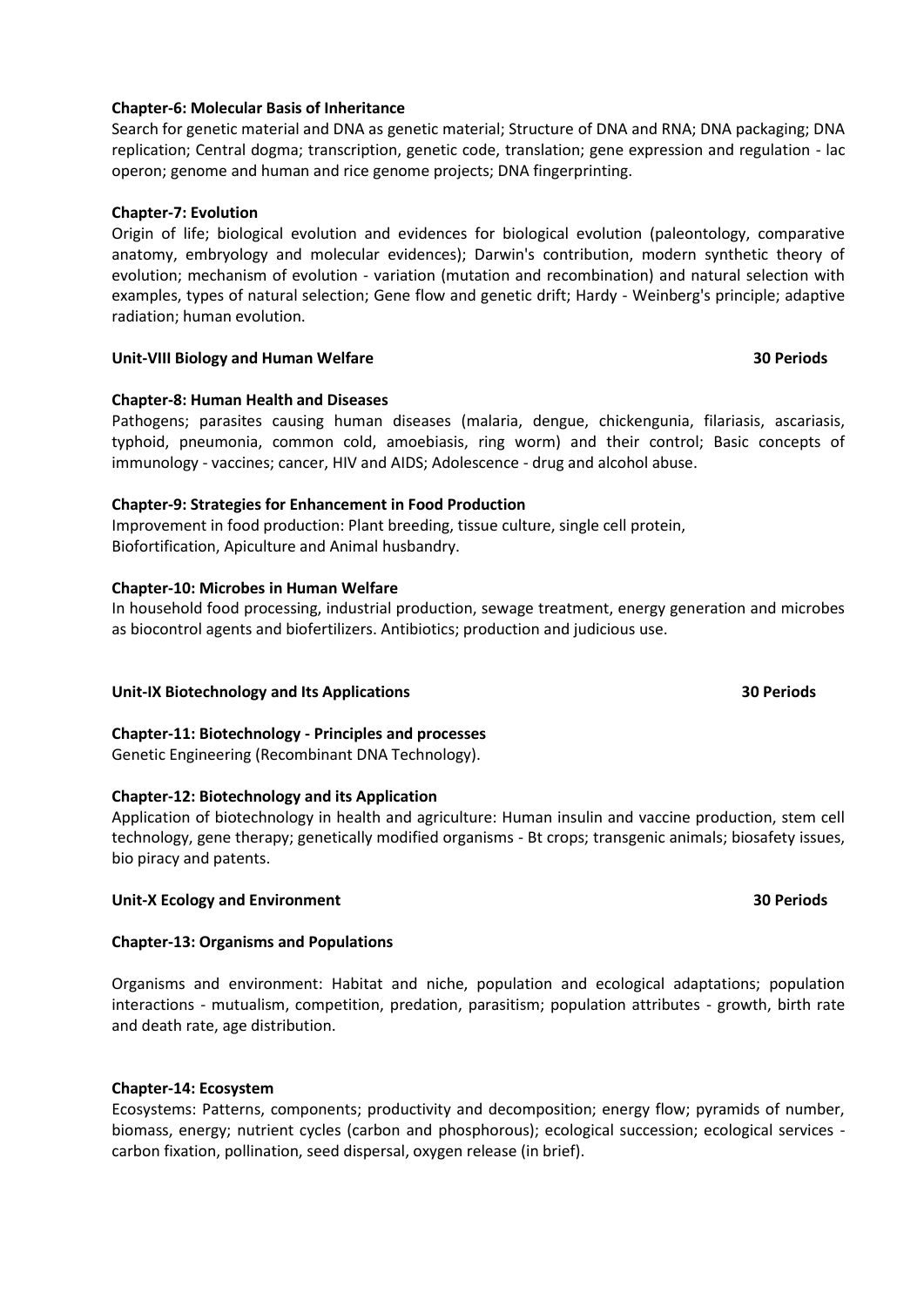# **Chapter-6: Molecular Basis of Inheritance**

Search for genetic material and DNA as genetic material; Structure of DNA and RNA; DNA packaging; DNA replication; Central dogma; transcription, genetic code, translation; gene expression and regulation - lac operon; genome and human and rice genome projects; DNA fingerprinting.

### **Chapter-7: Evolution**

Origin of life; biological evolution and evidences for biological evolution (paleontology, comparative anatomy, embryology and molecular evidences); Darwin's contribution, modern synthetic theory of evolution; mechanism of evolution - variation (mutation and recombination) and natural selection with examples, types of natural selection; Gene flow and genetic drift; Hardy - Weinberg's principle; adaptive radiation; human evolution.

### **Unit-VIII Biology and Human Welfare 30 Periods**

# **Chapter-8: Human Health and Diseases**

Pathogens; parasites causing human diseases (malaria, dengue, chickengunia, filariasis, ascariasis, typhoid, pneumonia, common cold, amoebiasis, ring worm) and their control; Basic concepts of immunology - vaccines; cancer, HIV and AIDS; Adolescence - drug and alcohol abuse.

# **Chapter-9: Strategies for Enhancement in Food Production**

Improvement in food production: Plant breeding, tissue culture, single cell protein, Biofortification, Apiculture and Animal husbandry.

### **Chapter-10: Microbes in Human Welfare**

In household food processing, industrial production, sewage treatment, energy generation and microbes as biocontrol agents and biofertilizers. Antibiotics; production and judicious use.

### **Unit-IX Biotechnology and Its Applications 30 Periods**

# **Chapter-11: Biotechnology - Principles and processes**

Genetic Engineering (Recombinant DNA Technology).

### **Chapter-12: Biotechnology and its Application**

Application of biotechnology in health and agriculture: Human insulin and vaccine production, stem cell technology, gene therapy; genetically modified organisms - Bt crops; transgenic animals; biosafety issues, bio piracy and patents.

### **Unit-X Ecology and Environment 30 Periods**

### **Chapter-13: Organisms and Populations**

Organisms and environment: Habitat and niche, population and ecological adaptations; population interactions - mutualism, competition, predation, parasitism; population attributes - growth, birth rate and death rate, age distribution.

### **Chapter-14: Ecosystem**

Ecosystems: Patterns, components; productivity and decomposition; energy flow; pyramids of number, biomass, energy; nutrient cycles (carbon and phosphorous); ecological succession; ecological services carbon fixation, pollination, seed dispersal, oxygen release (in brief).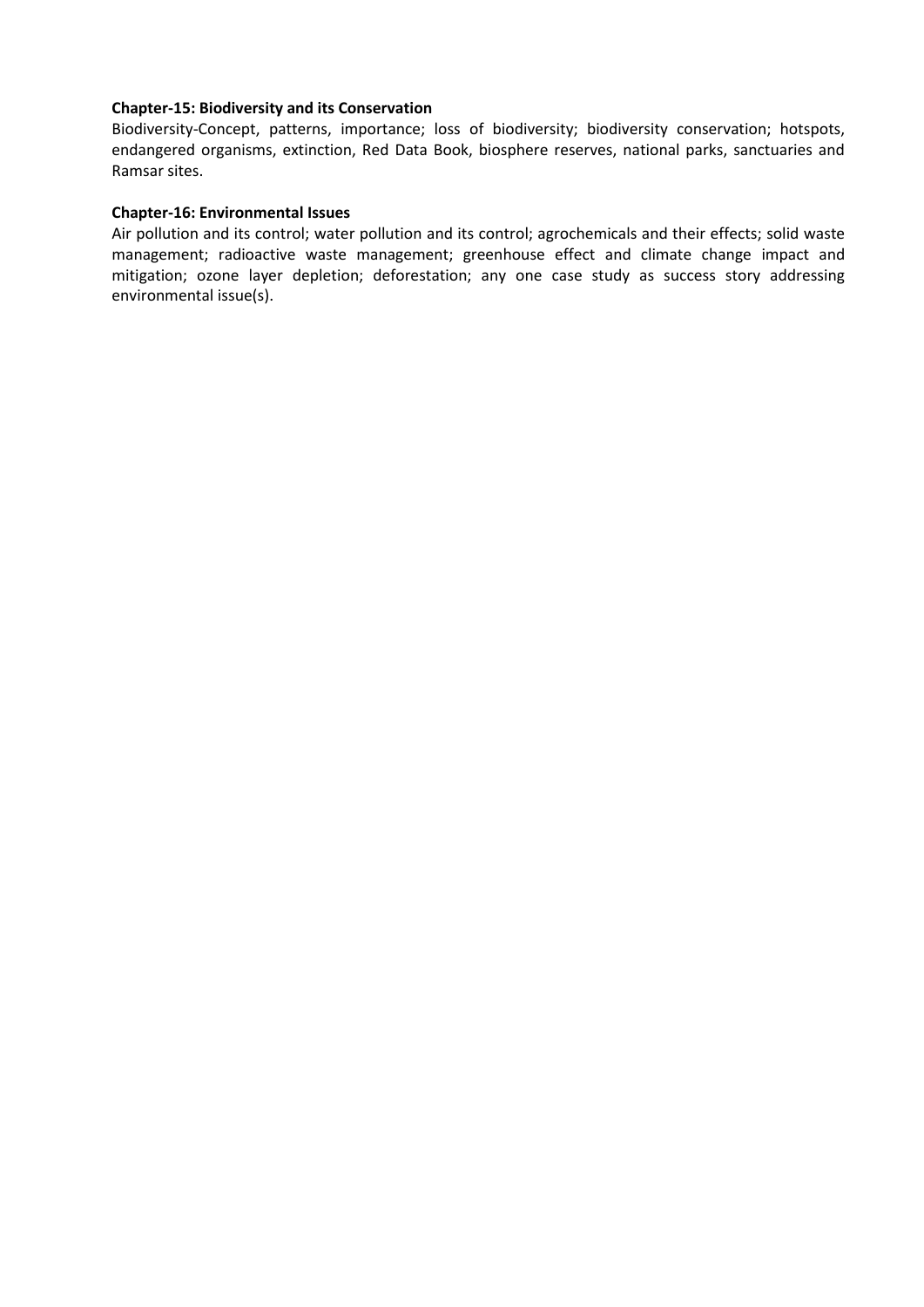# **Chapter-15: Biodiversity and its Conservation**

Biodiversity-Concept, patterns, importance; loss of biodiversity; biodiversity conservation; hotspots, endangered organisms, extinction, Red Data Book, biosphere reserves, national parks, sanctuaries and Ramsar sites.

### **Chapter-16: Environmental Issues**

Air pollution and its control; water pollution and its control; agrochemicals and their effects; solid waste management; radioactive waste management; greenhouse effect and climate change impact and mitigation; ozone layer depletion; deforestation; any one case study as success story addressing environmental issue(s).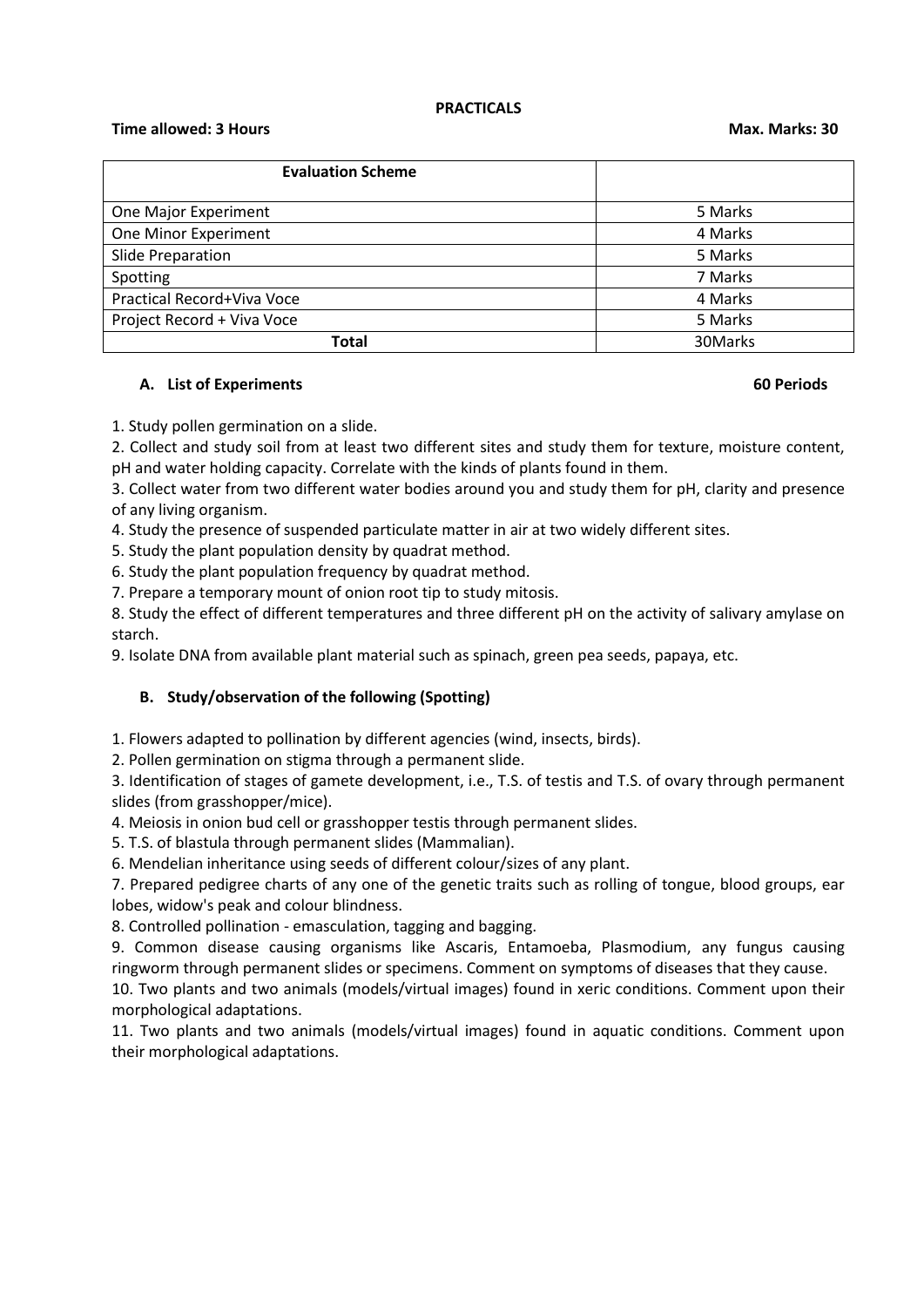### **PRACTICALS**

### **Time allowed: 3 Hours Max. Marks: 30**

| <b>Evaluation Scheme</b>   |         |
|----------------------------|---------|
|                            |         |
| One Major Experiment       | 5 Marks |
| One Minor Experiment       | 4 Marks |
| Slide Preparation          | 5 Marks |
| Spotting                   | 7 Marks |
| Practical Record+Viva Voce | 4 Marks |
| Project Record + Viva Voce | 5 Marks |
| <b>Total</b>               | 30Marks |

### **A. List of Experiments 60 Periods**

1. Study pollen germination on a slide.

2. Collect and study soil from at least two different sites and study them for texture, moisture content, pH and water holding capacity. Correlate with the kinds of plants found in them.

3. Collect water from two different water bodies around you and study them for pH, clarity and presence of any living organism.

4. Study the presence of suspended particulate matter in air at two widely different sites.

5. Study the plant population density by quadrat method.

6. Study the plant population frequency by quadrat method.

7. Prepare a temporary mount of onion root tip to study mitosis.

8. Study the effect of different temperatures and three different pH on the activity of salivary amylase on starch.

9. Isolate DNA from available plant material such as spinach, green pea seeds, papaya, etc.

# **B. Study/observation of the following (Spotting)**

1. Flowers adapted to pollination by different agencies (wind, insects, birds).

2. Pollen germination on stigma through a permanent slide.

3. Identification of stages of gamete development, i.e., T.S. of testis and T.S. of ovary through permanent slides (from grasshopper/mice).

4. Meiosis in onion bud cell or grasshopper testis through permanent slides.

5. T.S. of blastula through permanent slides (Mammalian).

6. Mendelian inheritance using seeds of different colour/sizes of any plant.

7. Prepared pedigree charts of any one of the genetic traits such as rolling of tongue, blood groups, ear lobes, widow's peak and colour blindness.

8. Controlled pollination - emasculation, tagging and bagging.

9. Common disease causing organisms like Ascaris, Entamoeba, Plasmodium, any fungus causing ringworm through permanent slides or specimens. Comment on symptoms of diseases that they cause.

10. Two plants and two animals (models/virtual images) found in xeric conditions. Comment upon their morphological adaptations.

11. Two plants and two animals (models/virtual images) found in aquatic conditions. Comment upon their morphological adaptations.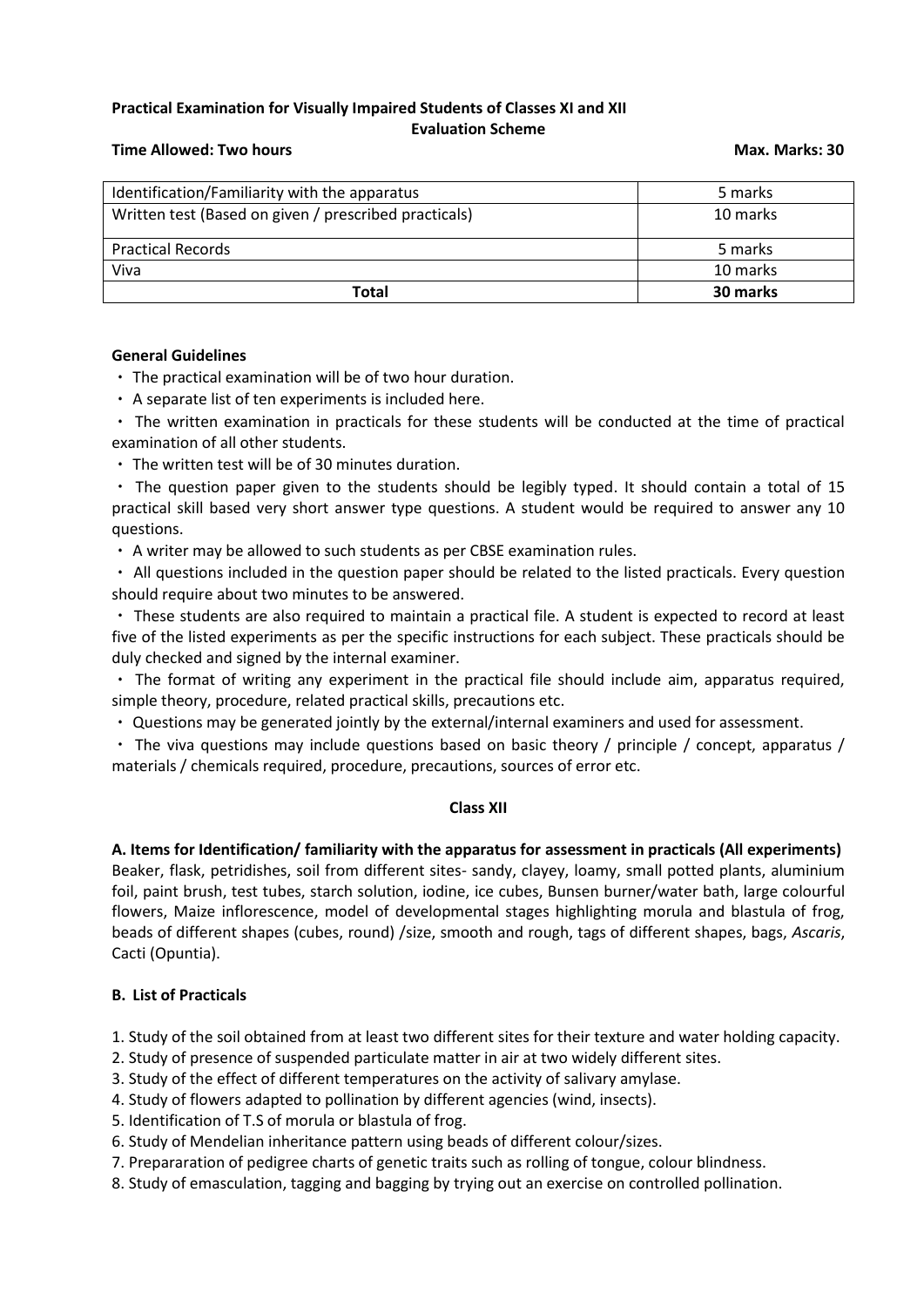# **Practical Examination for Visually Impaired Students of Classes XI and XII**

# **Evaluation Scheme**

# **Time Allowed: Two hours Max. Marks: 30**

| Identification/Familiarity with the apparatus         | 5 marks  |
|-------------------------------------------------------|----------|
| Written test (Based on given / prescribed practicals) | 10 marks |
| <b>Practical Records</b>                              | 5 marks  |
| Viva                                                  | 10 marks |
| Total                                                 | 30 marks |

# **General Guidelines**

The practical examination will be of two hour duration.

A separate list of ten experiments is included here.

The written examination in practicals for these students will be conducted at the time of practical examination of all other students.

The written test will be of 30 minutes duration.

The question paper given to the students should be legibly typed. It should contain a total of 15 practical skill based very short answer type questions. A student would be required to answer any 10 questions.

A writer may be allowed to such students as per CBSE examination rules.

All questions included in the question paper should be related to the listed practicals. Every question should require about two minutes to be answered.

These students are also required to maintain a practical file. A student is expected to record at least five of the listed experiments as per the specific instructions for each subject. These practicals should be duly checked and signed by the internal examiner.

The format of writing any experiment in the practical file should include aim, apparatus required, simple theory, procedure, related practical skills, precautions etc.

Questions may be generated jointly by the external/internal examiners and used for assessment.

The viva questions may include questions based on basic theory / principle / concept, apparatus / materials / chemicals required, procedure, precautions, sources of error etc.

# **Class XII**

**A. Items for Identification/ familiarity with the apparatus for assessment in practicals (All experiments)** Beaker, flask, petridishes, soil from different sites- sandy, clayey, loamy, small potted plants, aluminium foil, paint brush, test tubes, starch solution, iodine, ice cubes, Bunsen burner/water bath, large colourful flowers, Maize inflorescence, model of developmental stages highlighting morula and blastula of frog, beads of different shapes (cubes, round) /size, smooth and rough, tags of different shapes, bags, *Ascaris*, Cacti (Opuntia).

# **B. List of Practicals**

1. Study of the soil obtained from at least two different sites for their texture and water holding capacity.

2. Study of presence of suspended particulate matter in air at two widely different sites.

3. Study of the effect of different temperatures on the activity of salivary amylase.

4. Study of flowers adapted to pollination by different agencies (wind, insects).

5. Identification of T.S of morula or blastula of frog.

6. Study of Mendelian inheritance pattern using beads of different colour/sizes.

7. Prepararation of pedigree charts of genetic traits such as rolling of tongue, colour blindness.

8. Study of emasculation, tagging and bagging by trying out an exercise on controlled pollination.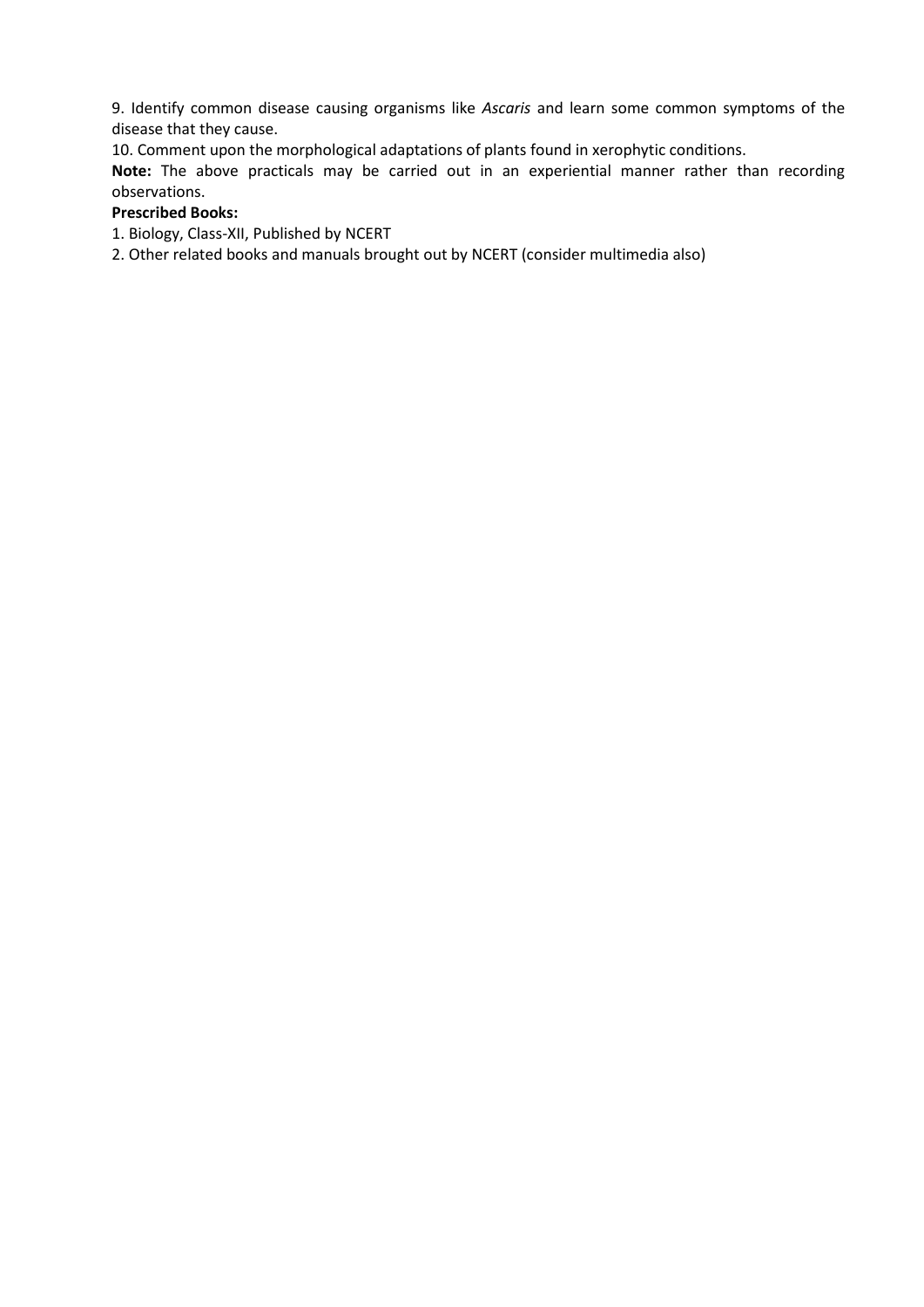9. Identify common disease causing organisms like *Ascaris* and learn some common symptoms of the disease that they cause.

10. Comment upon the morphological adaptations of plants found in xerophytic conditions.

**Note:** The above practicals may be carried out in an experiential manner rather than recording observations.

# **Prescribed Books:**

1. Biology, Class-XII, Published by NCERT

2. Other related books and manuals brought out by NCERT (consider multimedia also)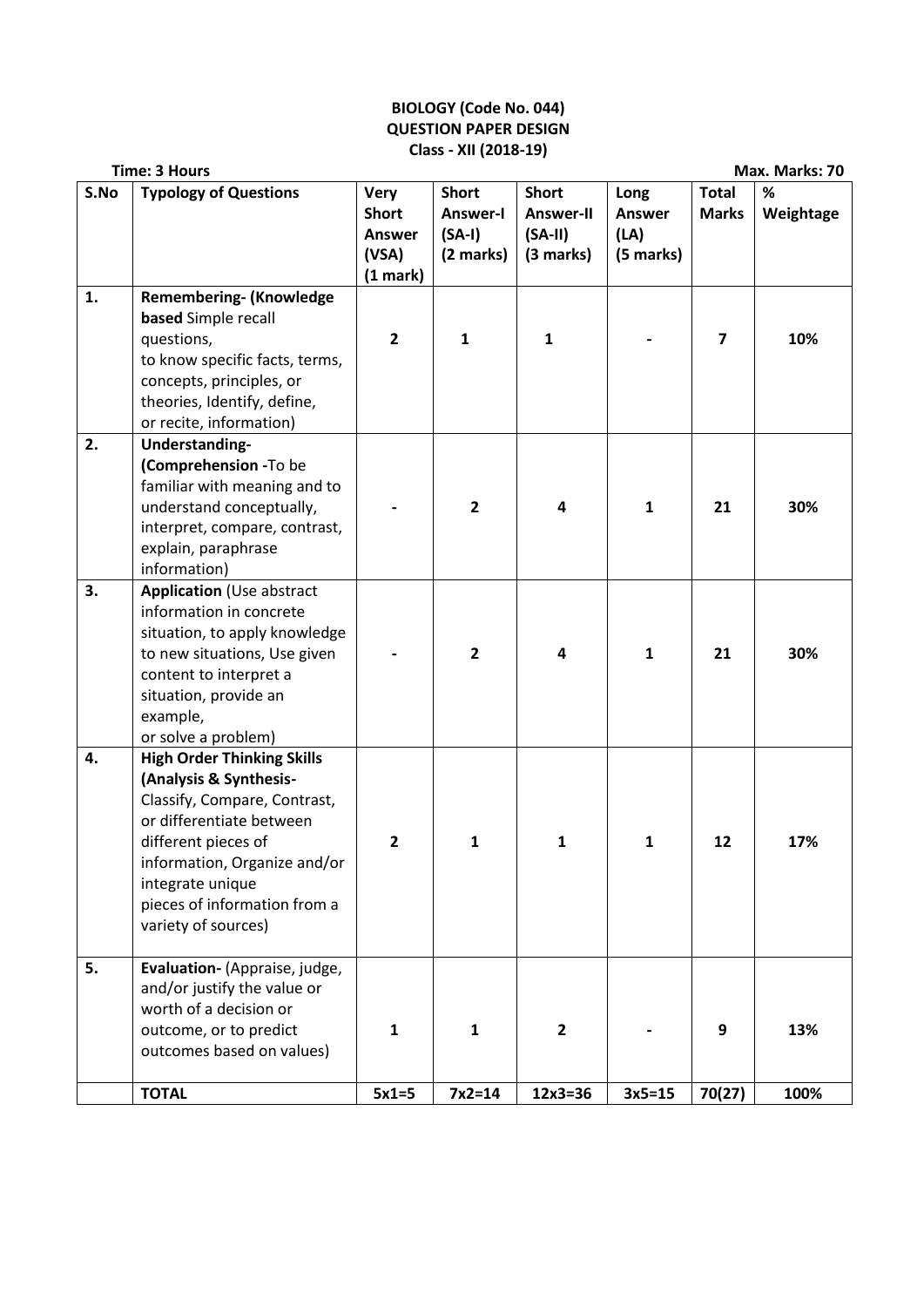# **BIOLOGY (Code No. 044) QUESTION PAPER DESIGN Class - XII (2018-19)**

|      | <b>Time: 3 Hours</b>                                                                                                                                                                                                                                      |                                                            |                                                   |                                                            |                                            |                              | Max. Marks: 70 |
|------|-----------------------------------------------------------------------------------------------------------------------------------------------------------------------------------------------------------------------------------------------------------|------------------------------------------------------------|---------------------------------------------------|------------------------------------------------------------|--------------------------------------------|------------------------------|----------------|
| S.No | <b>Typology of Questions</b>                                                                                                                                                                                                                              | <b>Very</b><br><b>Short</b><br>Answer<br>(VSA)<br>(1 mark) | <b>Short</b><br>Answer-I<br>$(SA-I)$<br>(2 marks) | <b>Short</b><br><b>Answer-II</b><br>$(SA-II)$<br>(3 marks) | Long<br><b>Answer</b><br>(LA)<br>(5 marks) | <b>Total</b><br><b>Marks</b> | %<br>Weightage |
| 1.   | <b>Remembering- (Knowledge</b><br>based Simple recall<br>questions,<br>to know specific facts, terms,<br>concepts, principles, or<br>theories, Identify, define,<br>or recite, information)                                                               | $\overline{2}$                                             | 1                                                 | $\mathbf{1}$                                               |                                            | 7                            | 10%            |
| 2.   | Understanding-<br>(Comprehension -To be<br>familiar with meaning and to<br>understand conceptually,<br>interpret, compare, contrast,<br>explain, paraphrase<br>information)                                                                               |                                                            | $\overline{\mathbf{c}}$                           | 4                                                          | $\mathbf{1}$                               | 21                           | 30%            |
| 3.   | <b>Application (Use abstract</b><br>information in concrete<br>situation, to apply knowledge<br>to new situations, Use given<br>content to interpret a<br>situation, provide an<br>example,<br>or solve a problem)                                        |                                                            | $\mathbf{2}$                                      | 4                                                          | $\mathbf{1}$                               | 21                           | 30%            |
| 4.   | <b>High Order Thinking Skills</b><br>(Analysis & Synthesis-<br>Classify, Compare, Contrast,<br>or differentiate between<br>different pieces of<br>information, Organize and/or<br>integrate unique<br>pieces of information from a<br>variety of sources) | $\mathbf{2}$                                               | 1                                                 | 1                                                          | $\mathbf{1}$                               | 12                           | 17%            |
| 5.   | Evaluation- (Appraise, judge,<br>and/or justify the value or<br>worth of a decision or<br>outcome, or to predict<br>outcomes based on values)                                                                                                             | $\mathbf{1}$                                               | $\mathbf{1}$                                      | $\overline{2}$                                             |                                            | 9                            | 13%            |
|      | <b>TOTAL</b>                                                                                                                                                                                                                                              | $5x1=5$                                                    | $7x2=14$                                          | $12x3 = 36$                                                | $3x5=15$                                   | 70(27)                       | 100%           |